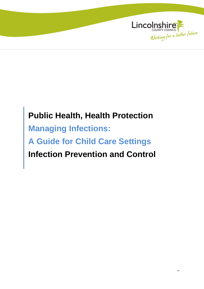

# **Public Health, Health Protection Managing Infections: A Guide for Child Care Settings Infection Prevention and Control**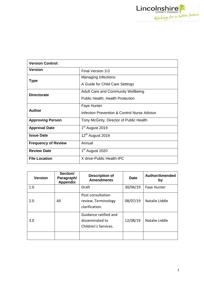

| <b>Version Control:</b>    |                                                                               |  |
|----------------------------|-------------------------------------------------------------------------------|--|
| <b>Version</b>             | Final Version 3.0                                                             |  |
| Type                       | Managing Infections:<br>A Guide for Child Care Settings                       |  |
| <b>Directorate</b>         | <b>Adult Care and Community Wellbeing</b><br>Public Health, Health Protection |  |
| Author                     | <b>Faye Hunter</b><br>Infection Prevention & Control Nurse Advisor            |  |
| <b>Approving Person</b>    | Tony McGinty, Director of Public Health                                       |  |
| <b>Approval Date</b>       | 1 <sup>st</sup> August 2019                                                   |  |
| <b>Issue Date</b>          | 12 <sup>th</sup> August 2019                                                  |  |
| <b>Frequency of Review</b> | Annual                                                                        |  |
| <b>Review Date</b>         | 1 <sup>st</sup> August 2020                                                   |  |
| <b>File Location</b>       | X drive-Public Health-IPC                                                     |  |

| <b>Version</b> | Section/<br>Paragraph/<br><b>Appendix</b> | <b>Description of</b><br><b>Amendments</b>                       | <b>Date</b> | <b>Author/Amended</b><br>by |
|----------------|-------------------------------------------|------------------------------------------------------------------|-------------|-----------------------------|
| 1.0            |                                           | Draft                                                            | 30/04/19    | Faye Hunter                 |
| 2.0            | All                                       | Post consultation<br>review. Terminology<br>clarification.       | 08/07/19    | Natalie Liddle              |
| 3.0            |                                           | Guidance ratified and<br>disseminated to<br>Children's Services. | 12/08/19    | Natalie Liddle              |
|                |                                           |                                                                  |             |                             |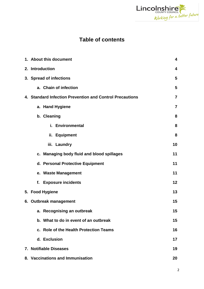

# **Table of contents**

| 1. About this document<br>4                              |                         |
|----------------------------------------------------------|-------------------------|
| 2. Introduction                                          | $\overline{\mathbf{4}}$ |
| 3. Spread of infections                                  | 5                       |
| a. Chain of infection                                    | 5                       |
| 4. Standard Infection Prevention and Control Precautions | $\overline{7}$          |
| a. Hand Hygiene                                          | $\overline{7}$          |
| b. Cleaning                                              | 8                       |
| i. Environmental                                         | 8                       |
| ii. Equipment                                            | 8                       |
| iii. Laundry                                             | 10                      |
| c. Managing body fluid and blood spillages               | 11                      |
| d. Personal Protective Equipment                         | 11                      |
| e. Waste Management                                      | 11                      |
| f. Exposure incidents                                    | 12                      |
| 5. Food Hygiene                                          | 13                      |
| 6. Outbreak management                                   | 15                      |
| a. Recognising an outbreak                               | 15                      |
| b. What to do in event of an outbreak                    | 15                      |
| c. Role of the Health Protection Teams                   | 16                      |
| d. Exclusion                                             | 17                      |
| 7. Notifiable Diseases                                   | 19                      |
| 8. Vaccinations and Immunisation                         | 20                      |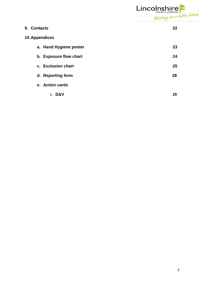

| 9. Contacts            | 22 |
|------------------------|----|
| 10. Appendices         |    |
| a. Hand Hygiene poster | 23 |
| b. Exposure flow chart | 24 |
| c. Exclusion chart     | 25 |
| d. Reporting form      | 28 |
| e. Action cards        |    |
| D&V<br>i.              | 29 |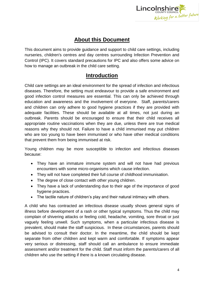

# **About this Document**

This document aims to provide guidance and support to child care settings, including nurseries, children's centres and day centres surrounding Infection Prevention and Control (IPC). It covers standard precautions for IPC and also offers some advice on how to manage an outbreak in the child care setting.

# **Introduction**

Child care settings are an ideal environment for the spread of infection and infectious diseases. Therefore, the setting must endeavour to provide a safe environment and good infection control measures are essential. This can only be achieved through education and awareness and the involvement of everyone. Staff, parents/carers and children can only adhere to good hygiene practices if they are provided with adequate facilities. These should be available at all times, not just during an outbreak. Parents should be encouraged to ensure that their child receives all appropriate routine vaccinations when they are due, unless there are true medical reasons why they should not. Failure to have a child immunised may put children who are too young to have been immunised or who have other medical conditions that prevent them from being immunised at risk.

Young children may be more susceptible to infection and infectious diseases because:

- They have an immature immune system and will not have had previous encounters with some micro-organisms which cause infection.
- They will not have completed their full course of childhood immunisation.
- The degree of close contact with other young children.
- They have a lack of understanding due to their age of the importance of good hygiene practices.
- The tactile nature of children's play and their natural intimacy with others.

A child who has contracted an infectious disease usually shows general signs of illness before development of a rash or other typical symptoms. Thus the child may complain of shivering attacks or feeling cold, headache, vomiting, sore throat or just vaguely feeling unwell. Such symptoms, when a particular infectious disease is prevalent, should make the staff suspicious. In these circumstances, parents should be advised to consult their doctor. In the meantime, the child should be kept separate from other children and kept warm and comfortable. If symptoms appear very serious or distressing, staff should call an ambulance to ensure immediate assessment and/or treatment for the child. Staff must inform the parents/carers of all children who use the setting if there is a known circulating disease.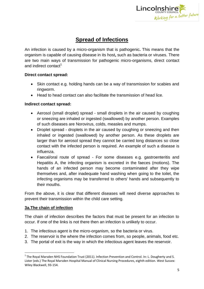

# **Spread of Infections**

An infection is caused by a micro-organism that is pathogenic**.** This means that the organism is capable of causing disease in its host**,** such as bacteria or viruses. There are two main ways of transmission for pathogenic micro-organisms, direct contact and indirect contact<sup>1</sup>

# **Direct contact spread:**

- Skin contact e.g. holding hands can be a way of transmission for scabies and ringworm.
- Head to head contact can also facilitate the transmission of head lice.

# **Indirect contact spread:**

- Aerosol (small droplet) spread small droplets in the air caused by coughing or sneezing are inhaled or ingested (swallowed) by another person. Examples of such diseases are Norovirus, colds, measles and mumps.
- Droplet spread droplets in the air caused by coughing or sneezing and then inhaled or ingested (swallowed) by another person. As these droplets are larger than for aerosol spread they cannot be carried long distances so close contact with the infected person is required. An example of such a disease is influenza.
- Faecal/oral route of spread For some diseases e.g. gastroenteritis and Hepatitis A, the infecting organism is excreted in the faeces (motions). The hands of an infected person may become contaminated after they wipe themselves and, after inadequate hand washing when going to the toilet, the infecting organisms may be transferred to others' hands and subsequently to their mouths.

From the above, it is clear that different diseases will need diverse approaches to prevent their transmission within the child care setting.

# **3a.The chain of infection**

 $\overline{\phantom{a}}$ 

The chain of infection describes the factors that must be present for an infection to occur. If one of the links is not there then an infection is unlikely to occur.

- 1. The infectious agent is the micro-organism, so the bacteria or virus.
- 2. The reservoir is the where the infection comes from, so people, animals, food etc.
- 3. The portal of exit is the way in which the infectious agent leaves the reservoir.

 $^1$  The Royal Marsden NHS Foundation Trust (2011). Infection Prevention and Control. In: L. Dougherty and S. Lister (eds.) The Royal Marsden Hospital Manual of Clinical Nursing Procedures, eighth edition. West Sussex: Wiley Blackwell, 93-154.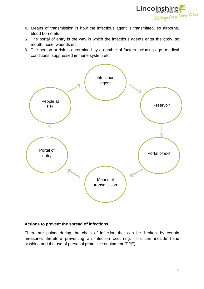

- 4. Means of transmission is how the infectious agent is transmitted, so airborne, blood borne etc.
- 5. The portal of entry is the way in which the infectious agents enter the body, so mouth, nose, wounds etc.
- 6. The person at risk is determined by a number of factors including age, medical conditions, suppressed immune system etc.



### **Actions to prevent the spread of infections.**

There are points during the chain of infection that can be 'broken' by certain measures therefore preventing an infection occurring. This can include hand washing and the use of personal protective equipment (PPE).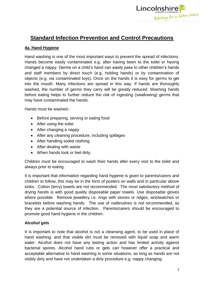

# **Standard Infection Prevention and Control Precautions**

# **4a. Hand Hygiene**

Hand washing is one of the most important ways to prevent the spread of infections. Hands become easily contaminated e.g. after having been to the toilet or having changed a nappy. Germs on a child's hand can easily pass to other children's hands and staff members by direct touch (e.g. holding hands) or by contamination of objects (e.g. via contaminated toys). Once on the hands it is easy for germs to get into the mouth. Many infections are spread in this way. If hands are thoroughly washed, the number of germs they carry will be greatly reduced. Washing hands before eating helps to further reduce the risk of ingesting (swallowing) germs that may have contaminated the hands.

Hands must be washed:-

- Before preparing, serving or eating food
- After using the toilet
- After changing a nappy
- After any cleaning procedure, including spillages
- After handling soiled clothing
- After dealing with waste
- When hands look or feel dirty.

Children must be encouraged to wash their hands after every visit to the toilet and always prior to eating.

It is important that information regarding hand hygiene is given to parents/carers and children to follow, this may be in the form of posters on walls and in particular above sinks. Cotton (terry) towels are not recommended. The most satisfactory method of drying hands is with good quality disposable paper towels. Use disposable gloves where possible. Remove jewellery i.e. rings with stones or ridges, wristwatches or bracelets before washing hands. The use of nailbrushes is not recommended, as they are a potential source of infection. Parents/carers should be encouraged to promote good hand hygiene in the children.

### **Alcohol gels**

It is important to note that alcohol is not a cleansing agent, to be used in place of hand washing, and that visible dirt must be removed with liquid soap and warm water. Alcohol does not have any lasting action and has limited activity against bacterial spores. Alcohol hand rubs or gels can however offer a practical and acceptable alternative to hand washing in some situations, as long as hands are not visibly dirty and have not undertaken a dirty procedure e.g. nappy changing.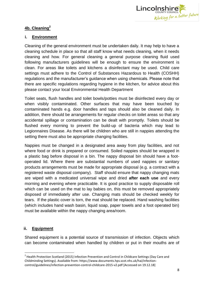

# **4b. Cleaning<sup>2</sup>**

# **i. Environment**

Cleaning of the general environment must be undertaken daily. It may help to have a cleaning schedule in place so that all staff know what needs cleaning, when it needs cleaning and how. For general cleaning a general purpose cleaning fluid used following manufacturers guidelines will be enough to ensure the environment is clean. For areas like toilets and kitchens a disinfectant may be used. Child care settings must adhere to the Control of Substances Hazardous to Health (COSHH) regulations and the manufacturer's guidance when using chemicals. Please note that there are specific regulations regarding hygiene in the kitchen, for advice about this please contact your local Environmental Health Department

Toilet seats, flush handles and toilet bowls/potties must be disinfected every day or when visibly contaminated. Other surfaces that may have been touched by contaminated hands e.g. door handles and taps should also be cleaned daily. In addition, there should be arrangements for regular checks on toilet areas so that any accidental spillage or contamination can be dealt with promptly. Toilets should be flushed every morning to prevent the build-up of bacteria which may lead to Legionnaires Disease. As there will be children who are still in nappies attending the setting there must also be appropriate changing facilities.

Nappies must be changed in a designated area away from play facilities, and not where food or drink is prepared or consumed. Soiled nappies should be wrapped in a plastic bag before disposal in a bin. The nappy disposal bin should have a footoperated lid. Where there are substantial numbers of used nappies or sanitary products arrangements must be made for appropriate disposal (e.g. a contract with a registered waste disposal company). Staff should ensure that nappy changing mats are wiped with a medicated universal wipe and dried **after each use** and every morning and evening where practicable. It is good practice to supply disposable roll which can be used on the mat to lay babies on, this must be removed appropriately disposed of immediately after use. Changing mats should be checked weekly for tears. If the plastic cover is torn, the mat should be replaced. Hand washing facilities (which includes hand wash basin, liquid soap, paper towels and a foot operated bin) must be available within the nappy changing area/room.

# **ii. Equipment**

Shared equipment is a potential source of transmission of infection. Objects which can become contaminated when handled by children or put in their mouths are of

 2 Health Protection Scotland (2015) Infection Prevention and Control in Childcare Settings (Day Care and Childminding Settings). Available from: https://www.documents.hps.scot.nhs.uk/hai/infectioncontrol/guidelines/infection-prevention-control-childcare-2015-v2.pdf [Accessed on 19.12.18]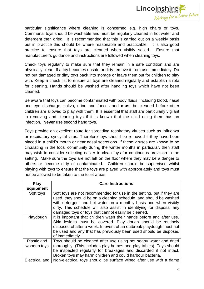

particular significance where cleaning is concerned e.g. high chairs or toys. Communal toys should be washable and must be regularly cleaned in hot water and detergent then dried. It is recommended that this is carried out on a weekly basis but in practice this should be where reasonable and practicable. It is also good practice to ensure that toys are cleaned when visibly soiled. Ensure that manufacturer's guidance and instructions are followed when cleaning toys.

Check toys regularly to make sure that they remain in a safe condition and are physically clean. If a toy becomes unsafe or dirty remove it from use immediately. Do not put damaged or dirty toys back into storage or leave them out for children to play with. Keep a check list to ensure all toys are cleaned regularly and establish a rota for cleaning. Hands should be washed after handling toys which have not been cleaned.

Be aware that toys can become contaminated with body fluids; including blood, nasal and eye discharge, saliva, urine and faeces and **must** be cleaned before other children are allowed to play with them. It is essential that staff are particularly vigilant in removing and cleaning toys if it is known that the child using them has an infection. **Never** use second hand toys.

Toys provide an excellent route for spreading respiratory viruses such as influenza or respiratory syncytial virus. Therefore toys should be removed if they have been placed in a child's mouth or near nasal secretions. If these viruses are known to be circulating in the local community during the winter months in particular, then staff may wish to consider selecting easier to clean toys for continuous provision in the setting. Make sure the toys are not left on the floor where they may be a danger to others or become dirty or contaminated. Children should be supervised whilst playing with toys to ensure that the toys are played with appropriately and toys must not be allowed to be taken to the toilet areas.

| <b>Play</b>                | <b>Care Instructions</b>                                                                                                                                                                                                                                                                                                                       |
|----------------------------|------------------------------------------------------------------------------------------------------------------------------------------------------------------------------------------------------------------------------------------------------------------------------------------------------------------------------------------------|
| <b>Equipment</b>           |                                                                                                                                                                                                                                                                                                                                                |
| Soft toys                  | Soft toys are not recommended for use in the setting, but if they are<br>used, they should be on a cleaning schedule, and should be washed<br>with detergent and hot water on a monthly basis and when visibly<br>dirty. This schedule will also assist in identifying for disposal any<br>damaged toys or toys that cannot easily be cleaned. |
| Playdough                  | It is important that children wash their hands before and after use.<br>Skin lesions must be covered. Play dough should be routinely<br>disposed of after a week. In event of an outbreak playdough must not<br>be used and any that has previously been used should be disposed<br>of immediately.                                            |
| Plastic and<br>wooden toys | Toys should be cleaned after use using hot soapy water and dried<br>thoroughly. (This includes play homes and play tables). Toys should                                                                                                                                                                                                        |
|                            | be inspected regularly for breakages and discarded if not intact.<br>Broken toys may harm children and could harbour bacteria.                                                                                                                                                                                                                 |
| Electrical and             | Non-electrical toys should be surface wiped after use with a damp                                                                                                                                                                                                                                                                              |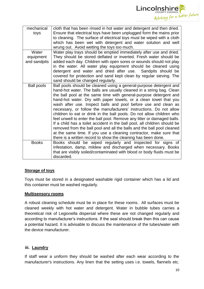

| mechanical<br>toys                 | cloth that has been rinsed in hot water and detergent and then dried.<br>Ensure that electrical toys have been unplugged form the mains prior<br>to cleaning. The surface of electrical toys must be wiped with a cloth<br>which has been wet with detergent and water solution and well<br>wrung out. Avoid wetting the toys too much.                                                                                                                                                                                                                                                                                                                                                                                                                                                                                                                                       |
|------------------------------------|-------------------------------------------------------------------------------------------------------------------------------------------------------------------------------------------------------------------------------------------------------------------------------------------------------------------------------------------------------------------------------------------------------------------------------------------------------------------------------------------------------------------------------------------------------------------------------------------------------------------------------------------------------------------------------------------------------------------------------------------------------------------------------------------------------------------------------------------------------------------------------|
| Water<br>equipment<br>and sandpits | Water play trays should be emptied immediately after use and dried.<br>They should be stored deflated or inverted. Fresh water should be<br>added each day. Children with open sores or wounds should not play<br>in the water. All water play equipment should be cleaned using<br>detergent and water and dried after use. Sandpits should be<br>covered for protection and sand kept clean by regular sieving. The<br>sand should be changed regularly.                                                                                                                                                                                                                                                                                                                                                                                                                    |
| <b>Ball pools</b>                  | Ball pools should be cleaned using a general-purpose detergent and<br>hand-hot water. The balls are usually cleaned in a string bag. Clean<br>the ball pool at the same time with general-purpose detergent and<br>hand-hot water. Dry with paper towels, or a clean towel that you<br>wash after use. Inspect balls and pool before use and clean as<br>necessary, or follow the manufacturers' instructions. Do not allow<br>children to eat or drink in the ball pools. Do not allow children who<br>feel unwell to enter the ball pool. Remove any litter or damaged balls.<br>If a child has a toilet accident in the ball pool, all children should be<br>removed from the ball pool and all the balls and the ball pool cleaned<br>at the same time. If you use a cleaning contractor, make sure that<br>there is a written record to show the cleaning has been done. |
| <b>Books</b>                       | Books should be wiped regularly and inspected for signs of<br>infestation, damp, mildew and discharged when necessary. Books<br>that are visibly soiled/contaminated with blood or body fluids must be<br>discarded.                                                                                                                                                                                                                                                                                                                                                                                                                                                                                                                                                                                                                                                          |

# **Storage of toys**

Toys must be stored in a designated washable rigid container which has a lid and this container must be washed regularly.

### **Multisensory rooms**

A robust cleaning schedule must be in place for these rooms. All surfaces must be cleaned weekly with hot water and detergent. Water in bubble tubes carries a theoretical risk of Legionella dispersal where these are not changed regularly and according to manufacturer's instructions. If the seal should break then this can cause a potential hazard. It is advisable to discuss the maintenance of the tubes/water with the device manufacturer.

### **iii. Laundry**

If staff wear a uniform they should be washed after each wear according to the manufacturer's instructions. Any linen that the setting uses i.e. towels, flannels etc.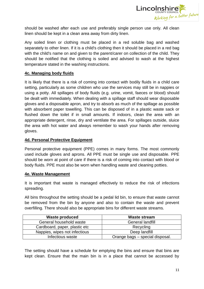

should be washed after each use and preferably single person use only. All clean linen should be kept in a clean area away from dirty linen.

Any soiled linen or clothing must be placed in a red soluble bag and washed separately to other linen. If it is a child's clothing then it should be placed in a red bag with the child's name on and given to the parent/carer on collection of the child. They should be notified that the clothing is soiled and advised to wash at the highest temperature stated in the washing instructions.

# **4c. Managing body fluids**

It is likely that there is a risk of coming into contact with bodily fluids in a child care setting, particularly as some children who use the services may still be in nappies or using a potty. All spillages of body fluids (e.g. urine, vomit, faeces or blood) should be dealt with immediately. When dealing with a spillage staff should wear disposable gloves and a disposable apron, and try to absorb as much of the spillage as possible with absorbent paper towelling. This can be disposed of in a plastic waste sack or flushed down the toilet if in small amounts. If indoors, clean the area with an appropriate detergent, rinse, dry and ventilate the area. For spillages outside, sluice the area with hot water and always remember to wash your hands after removing gloves.

# **4d. Personal Protective Equipment**

Personal protective equipment (PPE) comes in many forms. The most commonly used include gloves and aprons. All PPE must be single use and disposable. PPE should be worn at point of care if there is a risk of coming into contact with blood or body fluids. PPE must also be worn when handling waste and cleaning potties.

### **4e. Waste Management**

It is important that waste is managed effectively to reduce the risk of infections spreading.

All bins throughout the setting should be a pedal lid bin, to ensure that waste cannot be removed from the bin by anyone and also to contain the waste and prevent overfilling. There should also be appropriate bins for different waste streams.

| <b>Waste produced</b>         | Waste stream                    |
|-------------------------------|---------------------------------|
| General household waste       | <b>General landfill</b>         |
| Cardboard, paper, plastic etc | Recycling                       |
| Nappies, wipes not infectious | Deep landfill                   |
| Infectious waste              | Orange bags – special disposal. |

The setting should have a schedule for emptying the bins and ensure that bins are kept clean. Ensure that the main bin is in a place that cannot be accessed by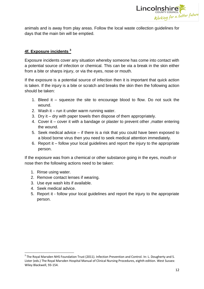

animals and is away from play areas. Follow the local waste collection guidelines for days that the main bin will be emptied.

# **4f. Exposure incidents <sup>3</sup>**

Exposure incidents cover any situation whereby someone has come into contact with a potential source of infection or chemical. This can be via a break in the skin either from a bite or sharps injury, or via the eyes, nose or mouth.

If the exposure is a potential source of infection then it is important that quick action is taken. If the injury is a bite or scratch and breaks the skin then the following action should be taken:

- 1. Bleed it squeeze the site to encourage blood to flow. Do not suck the wound.
- 2. Wash it run it under warm running water.
- 3. Dry it dry with paper towels then dispose of them appropriately.
- 4. Cover it cover it with a bandage or plaster to prevent other ,matter entering the wound.
- 5. Seek medical advice if there is a risk that you could have been exposed to a blood borne virus then you need to seek medical attention immediately.
- 6. Report it follow your local guidelines and report the injury to the appropriate person.

If the exposure was from a chemical or other substance going in the eyes, mouth or nose then the following actions need to be taken:

- 1. Rinse using water.
- 2. Remove contact lenses if wearing.
- 3. Use eye wash kits if available.
- 4. Seek medical advice.

 $\overline{\phantom{a}}$ 

5. Report it - follow your local guidelines and report the injury to the appropriate person.

 $3$  The Royal Marsden NHS Foundation Trust (2011). Infection Prevention and Control. In: L. Dougherty and S. Lister (eds.) The Royal Marsden Hospital Manual of Clinical Nursing Procedures, eighth edition. West Sussex: Wiley Blackwell, 93-154.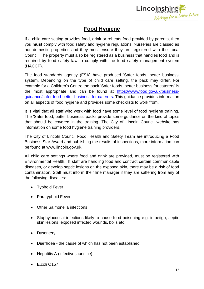

# **Food Hygiene**

If a child care setting provides food, drink or reheats food provided by parents, then you **must** comply with food safety and hygiene regulations. Nurseries are classed as non-domestic properties and they must ensure they are registered with the Local Council. The property must also be registered as a business that handles food and is required by food safety law to comply with the food safety management system (HACCP).

The food standards agency (FSA) have produced 'Safer foods, better business' system. Depending on the type of child care setting, the pack may differ. For example for a Children's Centre the pack 'Safer foods, better business for caterers' is the most appropriate and can be found at [https://www.food.gov.uk/business](https://www.food.gov.uk/business-guidance/safer-food-better-business-for-caterers)[guidance/safer-food-better-business-for-caterers.](https://www.food.gov.uk/business-guidance/safer-food-better-business-for-caterers) This guidance provides information on all aspects of food hygiene and provides some checklists to work from.

It is vital that all staff who work with food have some level of food hygiene training. The 'Safer food, better business' packs provide some guidance on the kind of topics that should be covered in the training. The City of Lincoln Council website has information on some food hygiene training providers.

The City of Lincoln Council Food, Health and Safety Team are introducing a Food Business Star Award and publishing the results of inspections, more information can be found at www.lincoln.gov.uk.

All child care settings where food and drink are provided, must be registered with Environmental Health. If staff are handling food and contract certain communicable diseases, or develop septic lesions on the exposed skin, there may be a risk of food contamination. Staff must inform their line manager if they are suffering from any of the following diseases:

- Typhoid Fever
- Paratyphoid Fever
- Other Salmonella infections
- Staphylococcal infections likely to cause food poisoning e.g. impetigo, septic skin lesions, exposed infected wounds, boils etc.
- Dysentery
- Diarrhoea the cause of which has not been established
- Hepatitis A (infective jaundice)
- E.coli O157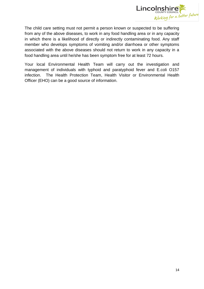

The child care setting must not permit a person known or suspected to be suffering from any of the above diseases, to work in any food handling area or in any capacity in which there is a likelihood of directly or indirectly contaminating food. Any staff member who develops symptoms of vomiting and/or diarrhoea or other symptoms associated with the above diseases should not return to work in any capacity in a food handling area until he/she has been symptom free for at least 72 hours.

Your local Environmental Health Team will carry out the investigation and management of individuals with typhoid and paratyphoid fever and E.coli O157 infection. The Health Protection Team, Health Visitor or Environmental Health Officer (EHO) can be a good source of information.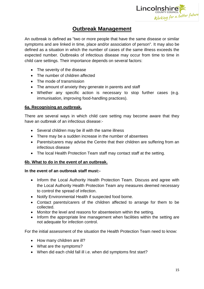

# **Outbreak Management**

An outbreak is defined as "two or more people that have the same disease or similar symptoms and are linked in time, place and/or association of person". It may also be defined as a situation in which the number of cases of the same illness exceeds the expected number*.* Outbreaks of infectious disease may occur from time to time in child care settings. Their importance depends on several factors:

- The severity of the disease
- The number of children affected
- The mode of transmission
- The amount of anxiety they generate in parents and staff
- Whether any specific action is necessary to stop further cases (e.g. immunisation, improving food-handling practices).

# **6a. Recognising an outbreak.**

There are several ways in which child care setting may become aware that they have an outbreak of an infectious disease:-

- Several children may be ill with the same illness
- There may be a sudden increase in the number of absentees
- Parents/carers may advise the Centre that their children are suffering from an infectious disease
- The local Health Protection Team staff may contact staff at the setting.

# **6b. What to do in the event of an outbreak.**

### **In the event of an outbreak staff must:-**

- Inform the Local Authority Health Protection Team. Discuss and agree with the Local Authority Health Protection Team any measures deemed necessary to control the spread of infection.
- Notify Environmental Health if suspected food borne.
- Contact parents/carers of the children affected to arrange for them to be collected.
- Monitor the level and reasons for absenteeism within the setting.
- Inform the appropriate line management when facilities within the setting are not adequate for infection control.

For the initial assessment of the situation the Health Protection Team need to know:

- How many children are ill?
- What are the symptoms?
- When did each child fall ill i.e. when did symptoms first start?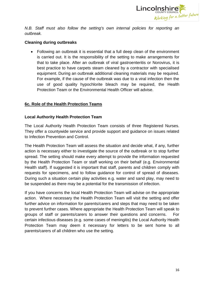

*N.B. Staff must also follow the setting's own internal policies for reporting an outbreak.* 

# **Cleaning during outbreaks**

 Following an outbreak it is essential that a full deep clean of the environment is carried out. It is the responsibility of the setting to make arrangements for that to take place. After an outbreak of viral gastroenteritis or Norovirus, it is best practice to have carpets steam cleaned by a contractor with specialised equipment. During an outbreak additional cleaning materials may be required. For example, if the cause of the outbreak was due to a viral infection then the use of good quality hypochlorite bleach may be required, the Health Protection Team or the Environmental Health Officer will advise.

# **6c. Role of the Health Protection Teams**

# **Local Authority Health Protection Team**

The Local Authority Health Protection Team consists of three Registered Nurses. They offer a countywide service and provide support and guidance on issues related to Infection Prevention and Control.

The Health Protection Team will assess the situation and decide what, if any, further action is necessary either to investigate the source of the outbreak or to stop further spread. The setting should make every attempt to provide the information requested by the Health Protection Team or staff working on their behalf (e.g. Environmental Health staff). If suggested it is important that staff, parents and children comply with requests for specimens, and to follow guidance for control of spread of diseases. During such a situation certain play activities e.g. water and sand play, may need to be suspended as there may be a potential for the transmission of infection.

If you have concerns the local Health Protection Team will advise on the appropriate action. Where necessary the Health Protection Team will visit the setting and offer further advice on information for parents/carers and steps that may need to be taken to prevent further cases. Where appropriate the Health Protection Team will speak to groups of staff or parents/carers to answer their questions and concerns. For certain infectious diseases (e.g. some cases of meningitis) the Local Authority Health Protection Team may deem it necessary for letters to be sent home to all parents/carers of all children who use the setting.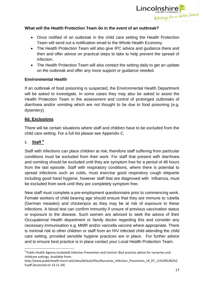

# **What will the Health Protection Team do in the event of an outbreak?**

- Once notified of an outbreak in the child care setting the Health Protection Team will send out a notification email to the Whole Health Economy.
- The Health Protection Team will also give IPC advice and guidance there and then and offer advice on practical steps to take to help prevent the spread of infection.
- The Health Protection Team will also contact the setting daily to get an update on the outbreak and offer any more support or guidance needed.

# **Environmental Health**

If an outbreak of food poisoning is suspected, the Environmental Health Department will be asked to investigate. In some cases they may also be asked to assist the Health Protection Team in the assessment and control of prolonged outbreaks of diarrhoea and/or vomiting which are not thought to be due to food poisoning (e.g. dysentery).

# **6d. Exclusions**

There will be certain situations where staff and children have to be excluded from the child care setting. For a full list please see Appendix C.

# **i. Staff <sup>4</sup>**

Staff with infections can place children at risk; therefore staff suffering from particular conditions must be excluded from their work. For staff that present with diarrhoea and vomiting should be excluded until they are symptom free for a period of 48 hours from the last episode. Staff with respiratory conditions, where there is potential to spread infections such as colds, must exercise good respiratory cough etiquette including good hand hygiene, however staff that are diagnosed with influenza, must be excluded from work until they are completely symptom free.

New staff must complete a pre-employment questionnaire prior to commencing work. Female workers of child bearing age should ensure that they are immune to rubella (German measles) and chickenpox as they may be at risk of exposure to these infections. A blood test can confirm immunity if unsure of previous vaccination status or exposure to the disease. Such women are advised to seek the advice of their Occupational Health department or family doctor regarding this and consider any necessary immunisation e.g. MMR and/or varicella vaccine where appropriate. There is minimal risk to other children or staff from an HIV infected child attending the child care setting, provided sensible hygiene practices are in place. For further advice and to ensure best practice is in place contact your Local Health Protection Team.

**<sup>.</sup>** <sup>4</sup> Public Health Agency (undated) Infection Prevention and Control: Best practice advice for nurseries and childcare settings. Available from:

http://www.publichealth.hscni.net/sites/default/files/Nursaries\_Infection\_Prevention\_LR\_07\_11%20%282%2 9.pdf [Accessed on 14.11.18]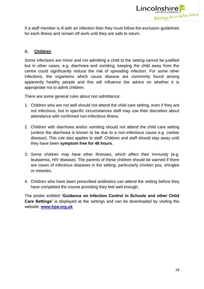

If a staff member is ill with an infection then they must follow the exclusion guidelines for each illness and remain off work until they are safe to return.

# **ii. Children**

Some infections are minor and not admitting a child to the setting cannot be justified but in other cases, e.g. diarrhoea and vomiting, keeping the child away from the centre could significantly reduce the risk of spreading infection. For some other infections, the organisms which cause disease are commonly found among apparently healthy people and this will influence the advice on whether it is appropriate not to admit children.

There are some general rules about non admittance:

- 1. Children who are not well should not attend the child care setting, even if they are not infectious, but in specific circumstances staff may use their discretion about attendance with confirmed non-infectious illness.
- 2. Children with diarrhoea and/or vomiting should not attend the child care setting (unless the diarrhoea is known to be due to a non-infectious cause e.g. coeliac disease). This rule also applies to staff. Children and staff should stay away until they have been **symptom free for 48 hours**.
- 3. Some children may have other illnesses, which affect their immunity (e.g. leukaemia, HIV disease). The parents of these children should be warned if there are cases of infectious diseases in the setting, particularly chicken pox, shingles or measles.
- 4. Children who have been prescribed antibiotics can attend the setting before they have completed the course providing they feel well enough.

The poster entitled **'Guidance on Infection Control in Schools and other Child Care Settings'** is displayed at the settings and can be downloaded by visiting the website: **[www.hpa.org.uk](http://www.hpa.org.uk/)**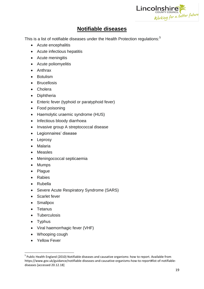

# **Notifiable diseases**

This is a list of notifiable diseases under the Health Protection regulations:<sup>5</sup>

- Acute encephalitis
- Acute infectious hepatitis
- Acute meningitis
- Acute poliomyelitis
- Anthrax
- **•** Botulism
- Brucellosis
- Cholera
- Diphtheria
- Enteric fever (typhoid or paratyphoid fever)
- Food poisoning
- Haemolytic uraemic syndrome (HUS)
- Infectious bloody diarrhoea
- Invasive group A streptococcal disease
- Legionnaires' disease
- Leprosy
- Malaria
- Measles
- Meningococcal septicaemia
- Mumps
- Plague
- Rabies
- Rubella
- Severe Acute Respiratory Syndrome (SARS)
- Scarlet fever
- Smallpox
- Tetanus
- Tuberculosis
- Typhus
- Viral haemorrhagic fever (VHF)
- Whooping cough
- Yellow Fever

 5 Public Health England (2010) Notifiable diseases and causative organisms: how to report. Available from https://www.gov.uk/guidance/notifiable-diseases-and-causative-organisms-how-to-report#list-of-notifiablediseases [accessed 20.12.18]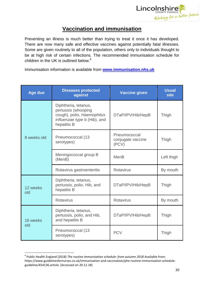

# **Vaccination and immunisation**

Preventing an illness is much better than trying to treat it once it has developed. There are now many safe and effective vaccines against potentially fatal illnesses. Some are given routinely to all of the population, others only to individuals thought to be at high risk of certain infections. The recommended immunisation schedule for children in the UK is outlined below.<sup>6</sup>

Immunisation information is available from **[www.immunisation.nhs.uk](http://www.immunisation.nhs.uk/)**

| <b>Age due</b>  | <b>Diseases protected</b><br>against                                                                                     | <b>Vaccine given</b>                       | <b>Usual</b><br>site |
|-----------------|--------------------------------------------------------------------------------------------------------------------------|--------------------------------------------|----------------------|
|                 | Diphtheria, tetanus,<br>pertussis (whooping<br>cough), polio, Haemophilus<br>influenzae type b (Hib), and<br>hepatitis B | DTaP/IPV/Hib/HepB                          | Thigh                |
| 8 weeks old     | Pneumococcal (13<br>serotypes)                                                                                           | Pneumococcal<br>conjugate vaccine<br>(PCV) | Thigh                |
|                 | Meningococcal group B<br>(MenB)                                                                                          | <b>MenB</b>                                | Left thigh           |
|                 | Rotavirus gastroenteritis                                                                                                | <b>Rotavirus</b>                           | By mouth             |
| 12 weeks<br>old | Diphtheria, tetanus,<br>pertussis, polio, Hib, and<br>hepatitis B                                                        | DTaP/IPV/Hib/HepB                          | Thigh                |
|                 | <b>Rotavirus</b>                                                                                                         | <b>Rotavirus</b>                           | By mouth             |
| 16 weeks<br>old | Diphtheria, tetanus,<br>pertussis, polio, and Hib,<br>and hepatitis B                                                    | DTaP/IPV/Hib/HepB                          | Thigh                |
|                 | Pneumococcal (13<br>serotypes)                                                                                           | <b>PCV</b>                                 | Thigh                |

 6 Public Health England (2018) *The routine immunisation schedule: from autumn 2018*.Available from: https://www.guidelinesfornurses.co.uk/immunisation-and-vaccination/phe-routine-immunisation-scheduleguideline/454136.article. [Accessed on 20.12.18]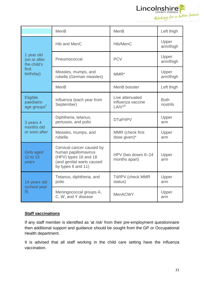

|                                                   | <b>MenB</b>                                                                                                                   | <b>MenB</b>                                      | Left thigh              |
|---------------------------------------------------|-------------------------------------------------------------------------------------------------------------------------------|--------------------------------------------------|-------------------------|
|                                                   | <b>Hib and MenC</b>                                                                                                           | Hib/MenC                                         | Upper<br>arm/thigh      |
| 1 year old<br>(on or after<br>the child's         | Pneumococcal                                                                                                                  | <b>PCV</b>                                       | Upper<br>arm/thigh      |
| first<br>birthday)                                | Measles, mumps, and<br>rubella (German measles)                                                                               | $MMR^*$                                          | Upper<br>arm/thigh      |
|                                                   | <b>MenB</b>                                                                                                                   | MenB booster                                     | Left thigh              |
| Eligible<br>paediatric<br>age groups <sup>t</sup> | Influenza (each year from<br>September)                                                                                       | Live attenuated<br>influenza vaccine<br>$LAIV*†$ | <b>Both</b><br>nostrils |
| 3 years 4<br>months old<br>or soon after          | Diphtheria, tetanus,<br>pertussis, and polio                                                                                  | DTaP/IPV                                         | Upper<br>arm            |
|                                                   | Measles, mumps, and<br>rubella                                                                                                | MMR (check first<br>dose given)*                 | Upper<br>arm            |
| <b>Girls aged</b><br>12 to 13<br>years            | Cervical cancer caused by<br>human papillomavirus<br>(HPV) types 16 and 18<br>(and genital warts caused<br>by types 6 and 11) | HPV (two doses 6-24<br>months apart)             | Upper<br>arm            |
| 14 years old<br>(school year<br>9)                | Tetanus, diphtheria, and<br>polio                                                                                             | Td/IPV (check MMR<br>status)                     | Upper<br>arm            |
|                                                   | Meningococcal groups A,<br>C, W, and Y disease                                                                                | <b>MenACWY</b>                                   | Upper<br>arm            |

# **Staff vaccinations**

If any staff member is identified as 'at risk' from their pre-employment questionnaire then additional support and guidance should be sought from the GP or Occupational Health department.

It is advised that all staff working in the child care setting have the influenza vaccination.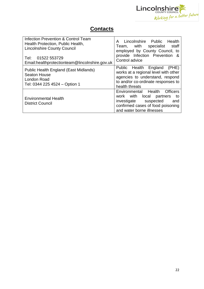

# **Contacts**

| Infection Prevention & Control Team<br>Health Protection, Public Health,<br><b>Lincolnshire County Council</b><br>01522 553729<br>Tel:<br>Email:healthprotectionteam@lincolnshire.gov.uk | Lincolnshire Public<br>Health<br>A<br>Team, with specialist<br>staff<br>employed by County Council, to<br>provide Infection Prevention &<br>Control advice                        |
|------------------------------------------------------------------------------------------------------------------------------------------------------------------------------------------|-----------------------------------------------------------------------------------------------------------------------------------------------------------------------------------|
| Public Health England (East Midlands)<br><b>Seaton House</b><br>London Road<br>Tel: 0344 225 4524 - Option 1                                                                             | Public Health England (PHE)<br>works at a regional level with other<br>agencies to understand, respond<br>to and/or co-ordinate responses to<br>health threats                    |
| <b>Environmental Health</b><br><b>District Council</b>                                                                                                                                   | Environmental Health<br><b>Officers</b><br>work with local<br>partners<br>to<br>investigate<br>suspected<br>and<br>confirmed cases of food poisoning<br>and water borne illnesses |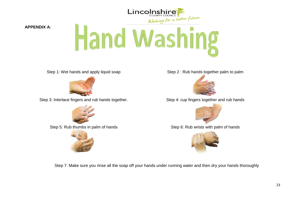

**APPENDIX A:**

# Hand Washing



Step 3: Interlace fingers and rub hands together. Step 4: cup fingers together and rub hands





Step 1: Wet hands and apply liquid soap Step 2: Rub hands together palm to palm





Step 5: Rub thumbs in palm of hands Step 6: Rub wrists with palm of hands



Step 7: Make sure you rinse all the soap off your hands under running water and then dry your hands thoroughly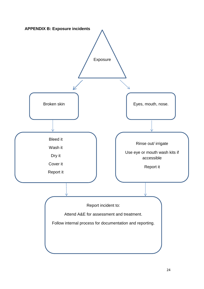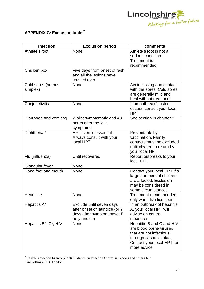

# **APPENDIX C: Exclusion table <sup>7</sup>**

| <b>Infection</b>               | <b>Exclusion period</b>                                                                                  | comments                                                                                                                                                |
|--------------------------------|----------------------------------------------------------------------------------------------------------|---------------------------------------------------------------------------------------------------------------------------------------------------------|
| Athlete's foot                 | None                                                                                                     | Athlete's foot is not a<br>serious condition.<br><b>Treatment is</b><br>recommended.                                                                    |
| Chicken pox                    | Five days from onset of rash<br>and all the lesions have<br>crusted over                                 |                                                                                                                                                         |
| Cold sores (herpes<br>simplex) | None                                                                                                     | Avoid kissing and contact<br>with the sores. Cold sores<br>are generally mild and<br>heal without treatment                                             |
| Conjunctivitis                 | None                                                                                                     | If an outbreak/cluster<br>occurs, consult your local<br><b>HPT</b>                                                                                      |
| Diarrhoea and vomiting         | Whilst symptomatic and 48<br>hours after the last<br>symptoms.                                           | See section in chapter 9                                                                                                                                |
| Diphtheria <sup>*</sup>        | Exclusion is essential.<br>Always consult with your<br>local HPT                                         | Preventable by<br>vaccination. Family<br>contacts must be excluded<br>until cleared to return by<br>your local HPT                                      |
| Flu (influenza)                | Until recovered                                                                                          | Report outbreaks to your<br>local HPT.                                                                                                                  |
| <b>Glandular fever</b>         | None                                                                                                     |                                                                                                                                                         |
| Hand foot and mouth            | None                                                                                                     | Contact your local HPT if a<br>large numbers of children<br>are affected. Exclusion<br>may be considered in<br>some circumstances                       |
| <b>Head lice</b>               | None                                                                                                     | <b>Treatment recommended</b><br>only when live lice seen                                                                                                |
| Hepatitis A*                   | Exclude until seven days<br>after onset of jaundice (or 7<br>days after symptom onset if<br>no jaundice) | In an outbreak of hepatitis<br>A, your local HPT will<br>advise on control<br>measures                                                                  |
| Hepatitis B*, C*, HIV          | None                                                                                                     | Hepatitis B and C and HIV<br>are blood borne viruses<br>that are not infectious<br>through casual contact.<br>Contact your local HPT for<br>more advice |

 7 Health Protection Agency (2010) Guidance on Infection Control in Schools and other Child Care Settings. HPA: London.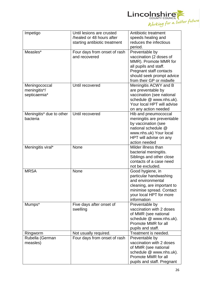

| Impetigo                 | Until lesions are crusted     | Antibiotic treatment                             |
|--------------------------|-------------------------------|--------------------------------------------------|
|                          | healed or 48 hours after      | speeds healing and<br>reduces the infectious     |
|                          | starting antibiotic treatment | period.                                          |
| Measles*                 | Four days from onset of rash  | Preventable by                                   |
|                          | and recovered                 | vaccination (2 doses of                          |
|                          |                               | MMR). Promote MMR for                            |
|                          |                               | all pupils and staff.                            |
|                          |                               | Pregnant staff contacts                          |
|                          |                               | should seek prompt advice                        |
|                          |                               | from their GP or midwife                         |
| Meningococcal            | Until recovered               | Meningitis ACWY and B                            |
| meningitis*/             |                               | are preventable by                               |
| septicaemia*             |                               | vaccination (see national                        |
|                          |                               | schedule @ www.nhs.uk).                          |
|                          |                               | Your local HPT will advise                       |
|                          |                               | on any action needed                             |
| Meningitis* due to other | Until recovered               | Hib and pneumococcal                             |
| bacteria                 |                               | meningitis are preventable                       |
|                          |                               | by vaccination (see<br>national schedule @       |
|                          |                               |                                                  |
|                          |                               | www.nhs.uk) Your local<br>HPT will advise on any |
|                          |                               | action needed                                    |
| Meningitis viral*        | None                          | Milder illness than                              |
|                          |                               | bacterial meningitis.                            |
|                          |                               | Siblings and other close                         |
|                          |                               | contacts of a case need                          |
|                          |                               | not be excluded.                                 |
| <b>MRSA</b>              | None                          | Good hygiene, in                                 |
|                          |                               | particular handwashing                           |
|                          |                               | and environmental                                |
|                          |                               | cleaning, are important to                       |
|                          |                               | minimise spread. Contact                         |
|                          |                               | your local HPT for more                          |
|                          |                               | information                                      |
| Mumps*                   | Five days after onset of      | Preventable by                                   |
|                          | swelling                      | vaccination with 2 doses                         |
|                          |                               | of MMR (see national                             |
|                          |                               | schedule @ www.nhs.uk).<br>Promote MMR for all   |
|                          |                               | pupils and staff.                                |
| Ringworm                 | Not usually required.         | Treatment is needed.                             |
| Rubella (German          | Four days from onset of rash  | Preventable by                                   |
| measles)                 |                               | vaccination with 2 doses                         |
|                          |                               | of MMR (see national                             |
|                          |                               | schedule @ www.nhs.uk).                          |
|                          |                               | Promote MMR for all                              |
|                          |                               | pupils and staff. Pregnant                       |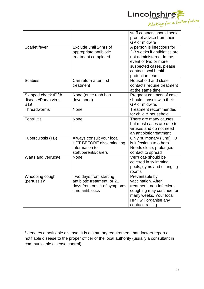

|                      |                                                   | staff contacts should seek              |
|----------------------|---------------------------------------------------|-----------------------------------------|
|                      |                                                   | prompt advice from their                |
|                      |                                                   | GP or midwife                           |
| Scarlet fever        | Exclude until 24hrs of                            | A person is infectious for              |
|                      | appropriate antibiotic                            | 2-3 weeks if antibiotics are            |
|                      | treatment completed                               | not administered. In the                |
|                      |                                                   | event of two or more                    |
|                      |                                                   | suspected cases, please                 |
|                      |                                                   | contact local health                    |
|                      |                                                   | protection team.                        |
| <b>Scabies</b>       | Can return after first                            | Household and close                     |
|                      | treatment                                         | contacts require treatment              |
|                      |                                                   | at the same time.                       |
| Slapped cheek /Fifth | None (once rash has                               | Pregnant contacts of case               |
| disease/Parvo virus  | developed)                                        | should consult with their               |
| <b>B19</b>           |                                                   | GP or midwife.                          |
| Threadworms          | None                                              | <b>Treatment recommended</b>            |
|                      |                                                   | for child & household                   |
| <b>Tonsillitis</b>   | <b>None</b>                                       | There are many causes,                  |
|                      |                                                   | but most cases are due to               |
|                      |                                                   | viruses and do not need                 |
|                      |                                                   | an antibiotic treatment                 |
| Tuberculosis (TB)    | Always consult your local                         | Only pulmonary (lung) TB                |
|                      | <b>HPT BEFORE disseminating</b><br>information to | is infectious to others.                |
|                      | staff/parents/carers                              | Needs close, prolonged                  |
| Warts and verrucae   | None                                              | contact to spread<br>Verrucae should be |
|                      |                                                   | covered in swimming                     |
|                      |                                                   | pools, gyms and changing                |
|                      |                                                   | rooms                                   |
| Whooping cough       | Two days from starting                            | Preventable by                          |
| (pertussis)*         | antibiotic treatment, or 21                       | vaccination. After                      |
|                      | days from onset of symptoms                       | treatment, non-infectious               |
|                      | if no antibiotics                                 | coughing may continue for               |
|                      |                                                   | many weeks. Your local                  |
|                      |                                                   | HPT will organise any                   |
|                      |                                                   | contact tracing                         |

\* denotes a notifiable disease. It is a statutory requirement that doctors report a notifiable disease to the proper officer of the local authority (usually a consultant in communicable disease control).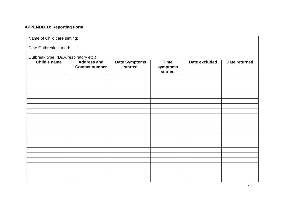# **APPENDIX D: Reporting Form**

| Name of Child care setting:           |                                             |                                 |                                    |               |               |  |  |
|---------------------------------------|---------------------------------------------|---------------------------------|------------------------------------|---------------|---------------|--|--|
| Date Outbreak started:                |                                             |                                 |                                    |               |               |  |  |
| Outbreak type: (D&V/respiratory etc.) |                                             |                                 |                                    |               |               |  |  |
| Child's name                          | <b>Address and</b><br><b>Contact number</b> | <b>Date Symptoms</b><br>started | <b>Time</b><br>symptoms<br>started | Date excluded | Date returned |  |  |
|                                       |                                             |                                 |                                    |               |               |  |  |
|                                       |                                             |                                 |                                    |               |               |  |  |
|                                       |                                             |                                 |                                    |               |               |  |  |
|                                       |                                             |                                 |                                    |               |               |  |  |
|                                       |                                             |                                 |                                    |               |               |  |  |
|                                       |                                             |                                 |                                    |               |               |  |  |
|                                       |                                             |                                 |                                    |               |               |  |  |
|                                       |                                             |                                 |                                    |               |               |  |  |
|                                       |                                             |                                 |                                    |               |               |  |  |
|                                       |                                             |                                 |                                    |               |               |  |  |
|                                       |                                             |                                 |                                    |               |               |  |  |
|                                       |                                             |                                 |                                    |               |               |  |  |
|                                       |                                             |                                 |                                    |               |               |  |  |
|                                       |                                             |                                 |                                    |               |               |  |  |
|                                       |                                             |                                 |                                    |               |               |  |  |
|                                       |                                             |                                 |                                    |               |               |  |  |
|                                       |                                             |                                 |                                    |               |               |  |  |
|                                       |                                             |                                 |                                    |               |               |  |  |
|                                       |                                             |                                 |                                    |               |               |  |  |